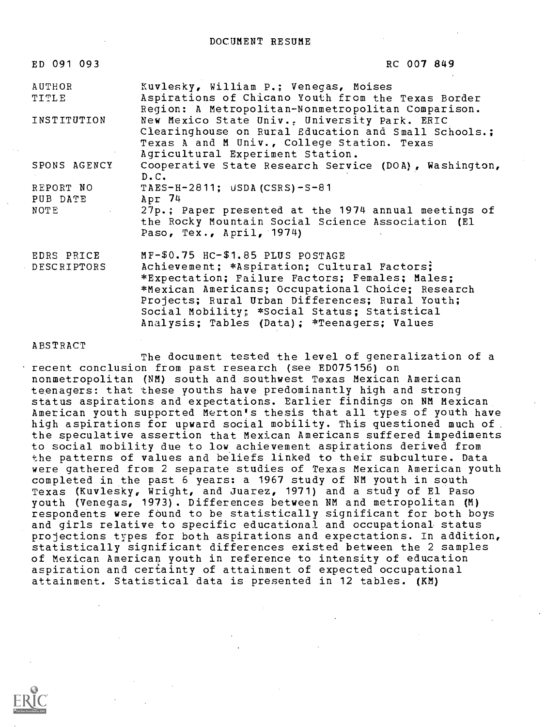#### DOCUMENT RESUME

| ED 091 093                | RC 007 849                                                                                                                                                                                                                                                                                                                               |
|---------------------------|------------------------------------------------------------------------------------------------------------------------------------------------------------------------------------------------------------------------------------------------------------------------------------------------------------------------------------------|
| AUTHOR<br>TITLE           | Kuvlesky, William P.; Venegas, Moises<br>Aspirations of Chicano Youth from the Texas Border<br>Region: A Metropolitan-Nonmetropolitan Comparison.                                                                                                                                                                                        |
| INSTITUTION               | New Mexico State Univ., University Park. ERIC<br>Clearinghouse on Rural Education and Small Schools.;<br>Texas A and M Univ., College Station. Texas<br>Agricultural Experiment Station.                                                                                                                                                 |
| SPONS AGENCY              | Cooperative State Research Service (DOA), Washington,<br>D.C.                                                                                                                                                                                                                                                                            |
| REPORT NO<br>PUB DATE     | TAES-H-2811; USDA (CSRS) - $S-81$<br>Apr 74                                                                                                                                                                                                                                                                                              |
| NOTE                      | 27p.; Paper presented at the 1974 annual meetings of<br>the Rocky Mountain Social Science Association (El<br>Paso, Tex., April, 1974)                                                                                                                                                                                                    |
| EDRS PRICE<br>DESCRIPTORS | MF-\$0.75 HC-\$1.85 PLUS POSTAGE<br>Achievement; *Aspiration; Cultural Factors;<br>*Expectation; Failure Factors; Females; Males;<br>*Mexican Americans; Occupational Choice; Research<br>Projects; Rural Urban Differences; Rural Youth;<br>Social Mobility; *Social Status; Statistical<br>Analysis; Tables (Data); *Teenagers; Values |

**ABSTRACT** 

The document tested the level of generalization of a recent conclusion from past research (see ED075156) on nonmetropolitan (NM) south and southwest Texas Mexican American teenagers: that these youths have predominantly high and strong status aspirations and expectations. Earlier findings on NM Mexican American youth supported Merton's thesis that all types of youth have high aspirations for upward social mobility. This questioned much of. the speculative assertion that Mexican Americans suffered impediments to social mobility due to low achievement aspirations derived from the patterns of values and beliefs linked to their subculture. Data were gathered from 2 separate studies of Texas Mexican American youth completed in the past 6 years: a 1967 study of NM youth in south Texas (Kuvlesky, Wright, and Juarez, 1971) and a study of El Paso youth (Venegas, 1973). Differences between NM and metropolitan (M) respondents were found to be statistically significant for both boys and girls relative to specific educational and occupational status projections types for both aspirations and expectations. In addition, statistically significant differences existed between the 2 samples of Mexican American youth in reference to intensity of education aspiration and certainty of attainment of expected occupational attainment. Statistical data is presented in 12 tables. (KM)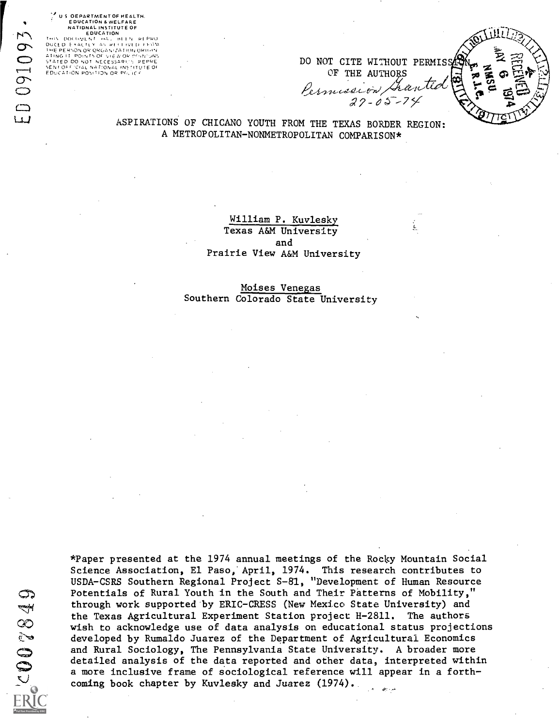# I US OEPARTMENT OF HEALTH.<br>"EDUCATION & WELFARE<br>NATIONAL INSTITUTE OF

THIS IDOCHATION IN EARLY AND INTEREST REPRODUCED EXACTLY AN RECEIVED FROM IHE PERNON OR ORGANIZATION ORIGIN.<br>ATING IT: POINTS OF VIEW OR OGNUMS STATED DO NOT NECESSARIL'S REPRE<br>SENTOFICIAL NATION OR PILITED<br>EDUCATION POSITION OR PILICE

DO NOT CITE WITHOUT PERMIS

OF THE AUTHORS<br>Permission Auntie

ASPIRATIONS OF CHICANO YOUTH FROM THE TEXAS BORDER REGION: A METROPOLITAN-NONMETROPOLITAN COMPARISON\*

> William P. Kuvlesky Texas A&M University and Prairie View A&M University

Moises Venegas Southern Colorado State University

67822002

\*Paper presented at the 1974 annual meetings of the Rocky Mountain Social Science Association, El Paso,' April, 1974. This research contributes to USDA-CSRS Southern Regional Project S-81, "Development of Human Resource Potentials of Rural Youth in the South and Their Patterns of Mobility," through work supported by ERIC-CRESS (New Mexico State University) and the Texas Agricultural Experiment Station project H-2811. The authors wish to acknowledge use of data analysis on educational status projections developed by Rumaldo Juarez of the Department of Agricultural Economics and Rural Sociology, The Pennsylvania State University. A broader more detailed analysis of the data reported and other data, interpreted within a more inclusive frame of sociological reference will appear in a forthcoming book chapter by Kuvlesky and Juarez (1974).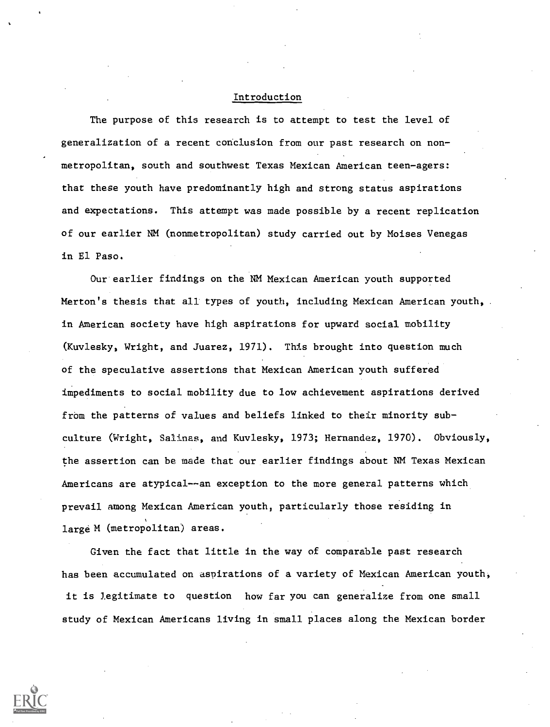#### Introduction

The purpose of this research is to attempt to test the level of generalization of a recent conclusion from our past research on nonmetropolitan, south and southwest Texas Mexican American teen-agers: that these youth have predominantly high and strong status aspirations and expectations. This attempt was made possible by a recent replication of our earlier NM (nonmetropolitan) study carried out by Moises Venegas in El Paso.

Our earlier findings on the NM Mexican American youth supported Merton's thesis that all types of youth, including Mexican American youth, in American society have high aspirations for upward social mobility (Kuvlesky, Wright, and Juarez, 1971). This brought into question much of the speculative assertions that Mexican American youth suffered impediments to social mobility due to low achievement aspirations derived from the patterns of values and beliefs linked to their minority subculture (Wright, Salinas, and Kuvlesky, 1973; Hernandez, 1970). Obviously, the assertion can be made that our earlier findings about NM Texas Mexican Americans are atypical--an exception to the more general patterns which prevail among Mexican American youth, particularly those residing in large M (metropolitan) areas.

Given the fact that little in the way of comparable past research has been accumulated on aspirations of a variety of Mexican American youth, it is legitimate to question how far you can generalize from one small study of Mexican Americans living in small places along the Mexican border

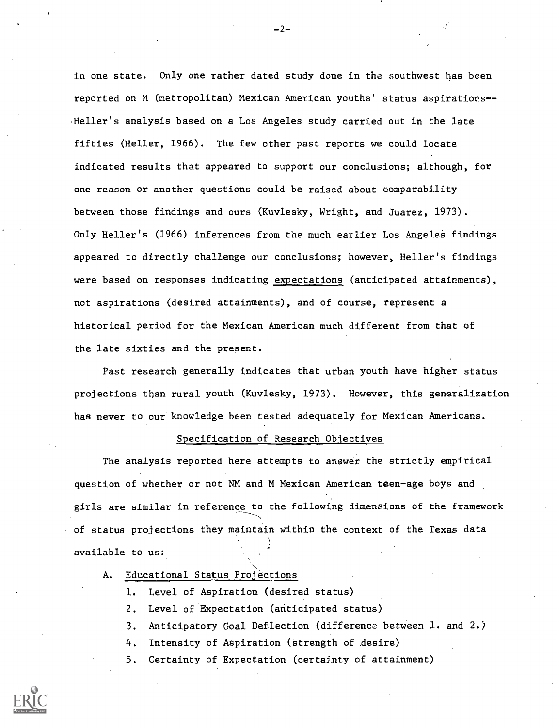in one state. Only one rather dated study done in the southwest has been reported on M (metropolitan) Mexican American youths' status aspirations-- Heller's analysis based on a Los Angeles study carried out in the late fifties (Heller, 1966). The few other past reports we could locate indicated results that appeared to support our conclusions; although, for one reason or another questions could be raised about comparability between those findings and ours (Kuvlesky, Wright, and Juarez, 1973). Only Heller's (1966) inferences from the much earlier Los Angeles findings appeared to directly challenge our conclusions; however, Heller's findings were based on responses indicating expectations (anticipated attainments), not aspirations (desired attainments), and of course, represent a historical period for the Mexican American much different from that of the late sixties and the present.

Past research generally indicates that urban youth have higher status projections than rural youth (Kuvlesky, 1973). However, this generalization has never to our knowledge been tested adequately for Mexican Americans.

#### Specification of Research Objectives

The analysis reported here attempts to answer the strictly empirical question of whether or not NM and M Mexican American teen-age boys and girls are similar in reference to the following dimensions of the framework of status projections they maintain within the context of the Texas data available to us:

# A. Educational Status Projections

- 1. Level of Aspiration (desired status)
- 2. Level of Expectation (anticipated status)
- 3. Anticipatory Goal Deflection (difference between 1. and 2.)
- 4. Intensity of Aspiration (strength of desire)
- 5. Certainty of Expectation (certainty of attainment)



 $-2-$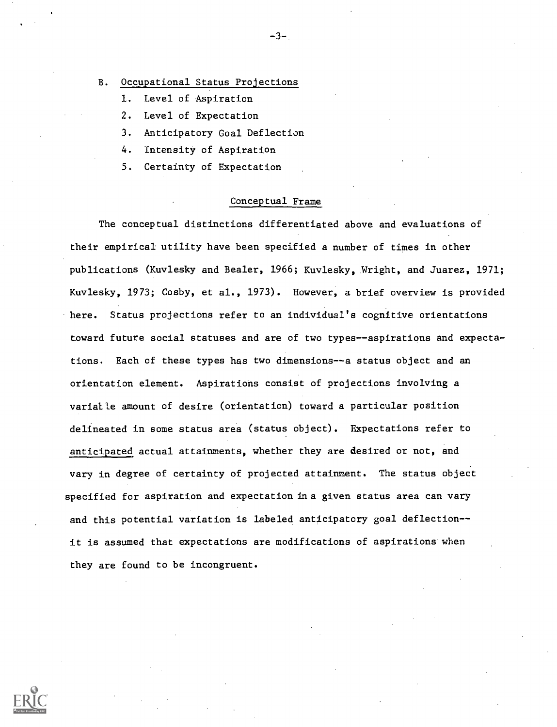B. Occupational Status Projections

- 1. Level of Aspiration
- 2. Level of Expectation
- 3. Anticipatory Goal Deflection
- 4. Intensity of Aspiration
- 5. Certainty of Expectation

## Conceptual Frame

 $-3-$ 

The conceptual distinctions differentiated above and evaluations of their empirical utility have been specified a number of times in other publications (Kuvlesky and Beeler, 1966; Kuvlesky, Wright, and Juarez, 1971; Kuvlesky, 1973; Cosby, et al., 1973). However, a brief overview is provided here. Status projections refer to an individual's cognitive orientations toward future social statuses and are of two types--aspirations and expectations. Each of these types has two dimensions--a status object and an orientation element. Aspirations consist of projections involving a varialle amount of desire (orientation) toward a particular position delineated in some status area (status object). Expectations refer to anticipated actual attainments, whether they are desired or not, and vary in degree of certainty of projected attainment. The status object specified for aspiration and expectation in a given status area can vary and this potential variation is labeled anticipatory goal deflection-it is assumed that expectations are modifications of aspirations when they are found to be incongruent.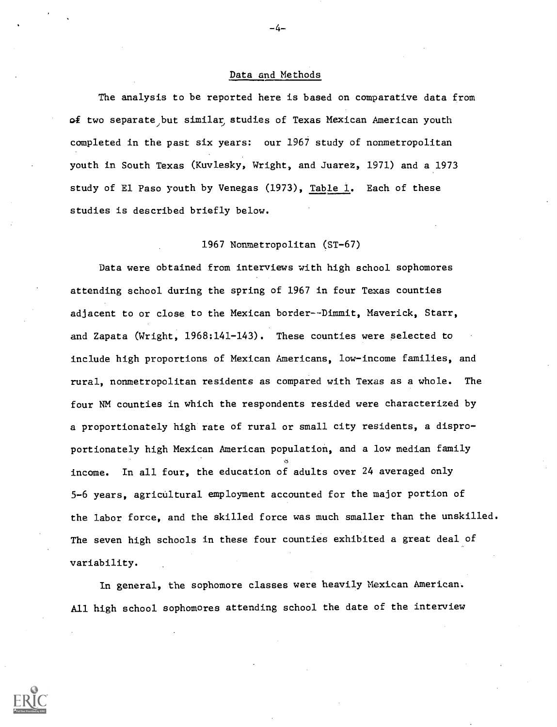## Data and Methods

-4--

The analysis to be reported here is based on comparative data from of two separate but similar studies of Texas Mexican American youth completed in the past six years: our 1967 study of nonmetropolitan youth in South Texas (Kuvlesky, Wright, and Juarez, 1971) and a 1973 study of El Paso youth by Venegas (1973), Table 1. Each of these studies is described briefly below.

#### 1967 Nonmetropolitan (ST-67)

Data were obtained from interviews with high school sophomores attending school during the spring of 1967 in four Texas counties adjacent to or close to the Mexican border -- Dimwit, Maverick, Starr, and Zapata (Wright, 1968:141-143). These counties were selected to include high proportions of Mexican Americans, low-income families, and rural, nonmetropolitan residents as compared with Texas as a whole. The four NM counties in which the respondents resided were characterized by a proportionately high rate of rural or small city residents, a disproportionately high Mexican American population, and a low median family  $\delta$  and  $\delta$  and  $\delta$ income. In all four, the education of adults over 24 averaged only 5-6 years, agricultural employment accounted for the major portion of the labor force, and the skilled force was much smaller than the unskilled. The seven high schools in these four counties exhibited a great deal of variability.

In general, the sophomore classes were heavily Mexican American. All high school sophomores attending school the date of the interview

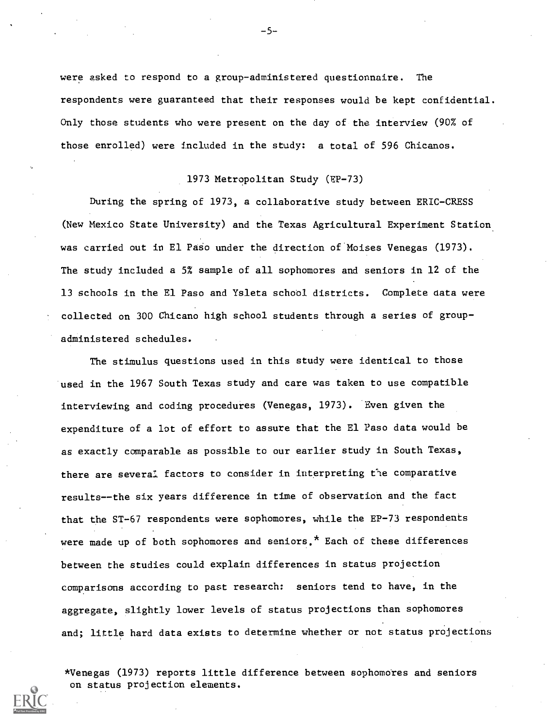were asked to respond to a group-administered questionnaire. The respondents were guaranteed that their responses would be kept confidential. Only those students who were present on the day of the interview (90% of those enrolled) were included in the study: a total of 596 Chicanos.

## 1973 Metropolitan Study (EP-73)

During the spring of 1973, a collaborative study between ERIC-CRESS (New Mexico State University) and the Texas Agricultural Experiment Station was carried out in El Paso under the direction of Moises Venegas (1973). The study included a 5% sample of all sophomores and seniors in 12 of the 13 schools in the El Paso and Ysleta school districts. Complete data were collected on 300 Chicano high school students through a series of groupadministered schedules.

The stimulus questions used in this study were identical to those used in the 1967 South Texas study and care was taken to use compatible interviewing and coding procedures (Venegas, 1973). Even given the expenditure of a lot of effort to assure that the El Paso data would be as exactly comparable as possible to our earlier study in South Texas, there are several factors to consider in interpreting the comparative results--the six years difference in time of observation and the fact that the ST-67 respondents were sophomores, while the EP-73 respondents were made up of both sophomores and seniors.\* Each of these differences between the studies could explain differences in status projection comparisons according to past research: seniors tend to have, in the aggregate, slightly lower levels of status projections than sophomores and; little hard data exists to determine whether or not status projections

\*Venegas (1973) reports little difference between sophomotes and seniors on status projection elements.

-5--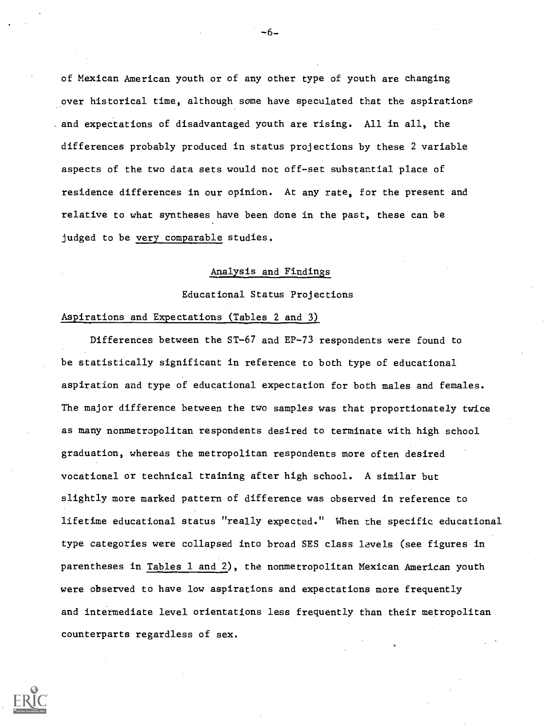of Mexican American youth or of any other type of youth are changing over historical time, although some have speculated that the aspirations . and expectations of disadvantaged youth are rising. All in all, the differences probably produced in status projections by these 2 variable aspects of the two data sets would not off-set substantial place of residence differences in our opinion. At any rate, for the present and relative to what syntheses have been done in the past, these can be judged to be very comparable studies.

## Analysis and Findings

Educational Status Projections

## Aspirations and Expectations (Tables 2 and 3)

Differences between the ST-67 and EP-73 respondents were found to be statistically significant in reference to both type of educational aspiration and type of educational expectation for both males and females. The major difference between the two samples was that proportionately twice as many nonmetropolitan respondents desired to terminate with high school graduation, whereas the metropolitan respondents more often desired vocational or technical training after high school. A similar but slightly more marked pattern of difference was observed in reference to lifetime educational status "really expected." When the specific educational type categories were collapsed into broad SES class levels (see figures in parentheses in Tables 1 and 2), the nonmetropolitan Mexican American youth were observed to have low aspirations and expectations more frequently and intermediate level orientations less frequently than their metropolitan counterparts regardless of sex.



-6-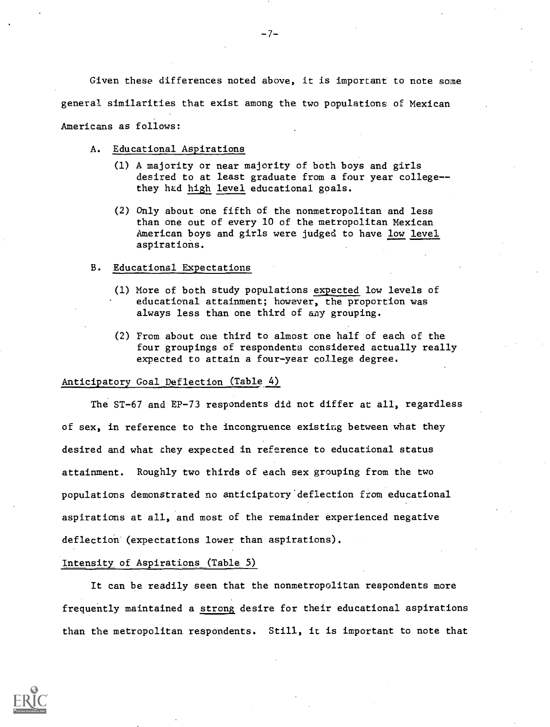Given these differences noted above, it is important to note some general similarities that exist among the two populations of Mexican Americans as follows:

- A. Educational Aspirations
	- (1) A majority or near majority of both boys and girls desired to at least graduate from a four year college-they had high level educational goals.
	- (2) Only about one fifth of the nonmetropolitan and less than one out of every 10 of the metropolitan Mexican American boys and girls were judged to have low level aspirations.

#### B. Educational Expectations

- (1) More of both study populations expected low levels of educational attainment; however, the proportion was always less than one third of any grouping.
- (2) From about cue third to almost one half of each of the four groupings of respondents considered actually really expected to attain a four-year college degree.

# Anticipatory Goal Deflection (Table 4)

The ST-67 and EP-73 respondents did not differ at all, regardless of sex, in reference to the incongruence existing between what they desired and what they expected in reference to educational status attainment. Roughly two thirds of each sex grouping from the two populations demonstrated no anticipatorydeflection from educational aspirations at all, and most of the remainder experienced negative deflection (expectations lower than aspirations).

#### Intensity of Aspirations (Table 5)

It can be readily seen that the nonmetropolitan respondents more frequently maintained a strong desire for their educational aspirations than the metropolitan respondents. Still, it is important to note that

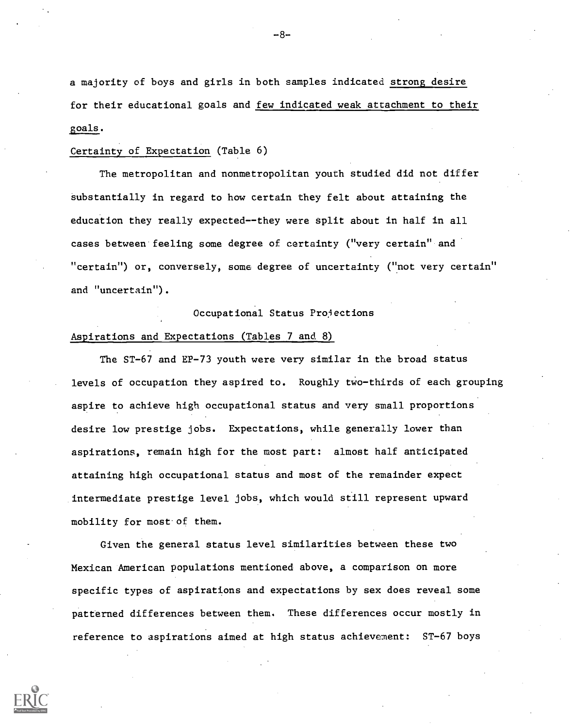a majority of boys and girls in both samples indicated strong desire for their educational goals and few indicated weak attachment to their goals.

## Certainty of Expectation (Table 6)

The metropolitan and nonmetropolitan youth studied did not differ Substantially in regard to how certain they felt about attaining the education they really expected--they were split about in half in all cases between feeling some degree of certainty ("very certain" and "certain") or, conversely, some degree of uncertainty ("not very certain" and "uncertain").

#### Occupational Status Projections

# Aspirations and Expectations (Tables 7 and 8)

The ST-67 and EP-73 youth were very similar in the broad status levels of occupation they aspired to. Roughly two- thirds of each grouping aspire to achieve high occupational status and very small proportions desire low prestige jobs. Expectations, while generally lower than aspirations, remain high for the most part: almost half anticipated attaining high occupational status and most of the remainder expect intermediate prestige level jobs, which would still represent upward mobility for most of them.

Given the general status level similarities between these two Mexican American populations mentioned above, a comparison on more specific types of aspirations and expectations by sex does reveal some patterned differences between them. These differences occur mostly in reference to aspirations aimed at high status achievement: ST-67 boys

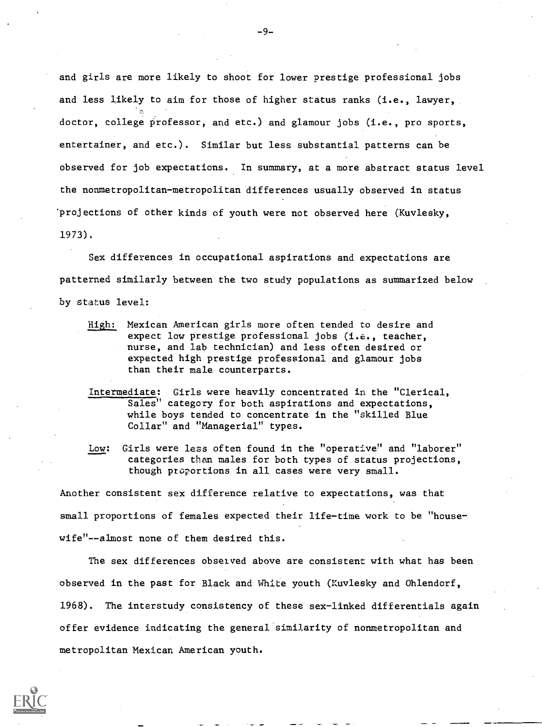and girls are more likely to shoot for lower prestige professional jobs and less likely to aim for those of higher status ranks (i.e., lawyer, doctor, college professor, and etc.) and glamour jobs (i.e., pro sports, entertainer, and etc.). Similar but less substantial patterns can be observed for job expectations. In summary, at a more abstract status level the nonmetropolitan-metropolitan differences usually observed in status 'projections of other kinds of youth were not observed here (Kuvlesky, 1973).

Sex differences in occupational aspirations and expectations are patterned similarly between the two study populations as summarized below by status level:

- High: Mexican American girls more often tended to desire and expect low prestige professional jobs (i.e., teacher, nurse, and lab technician) and less often desired or expected high prestige professional and glamour jobs than their male counterparts.
- Intermediate: Girls were heavily concentrated in the "Clerical, Sales" category for both aspirations and expectations, while boys tended to concentrate in the "skilled Blue Collar" and "Managerial" types.
- Low: Girls were less often found in the "operative" and "laborer" categories than males for both types of status projections, though proportions in all cases were very small.

Another consistent sex difference relative to expectations, was that small proportions of females expected their life-time work to be "housewife"--almost none of them desired this.

The sex differences observed above are consistent with what has been observed in the past for Black and White youth (Kuvlesky and Ohlendorf, 1968). The interstudy consistency of these sex-linked differentials again offer evidence indicating the general similarity of nonmetropolitan and metropolitan Mexican American youth.

 $-9-$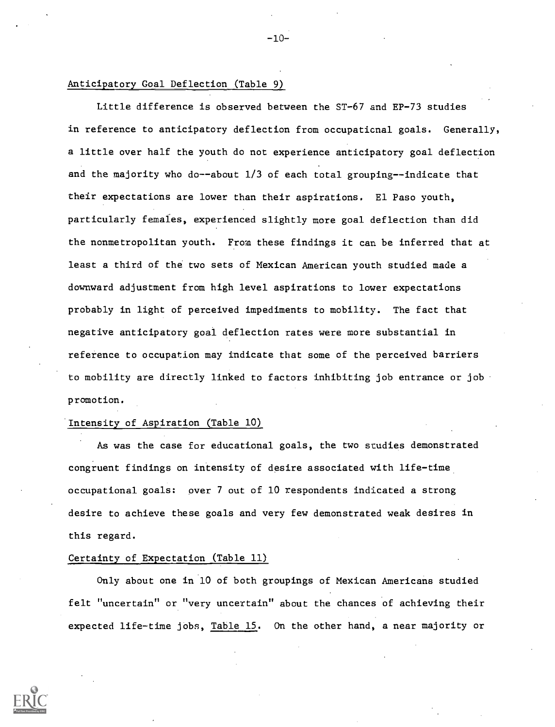# Anticipatory Goal Deflection (Table 9)

Little difference is observed between the ST-67 and EP-73 studies in reference to anticipatory deflection from occupational goals. Generally, a little over half the youth do not experience anticipatory goal deflection and the majority who do--about 1/3 of each total grouping--indicate that their expectations are lower than their aspirations. El Paso youth, particularly females, experienced slightly more goal deflection than did the nonmetropolitan youth. From these findings it can be inferred that at least a third of the two sets of Mexican American youth studied made a downward adjustment from high level aspirations to lower expectations probably in light of perceived impediments to mobility. The fact that negative anticipatory goal deflection rates were more substantial in reference to occupation may indicate that some of the perceived barriers to mobility are directly linked to factors inhibiting job entrance or job promotion.

 $-10-$ 

# 'Intensity of Aspiration (Table 10)

As was the case for educational goals, the two studies demonstrated congruent findings on intensity of desire associated with life-time occupational goals: over 7 out of 10 respondents indicated a strong desire to achieve these goals and very few demonstrated weak desires in this regard.

## Certainty of Expectation (Table 11)

Only about one in 10 of both groupings of Mexican Americans studied felt "uncertain" or "very uncertain" about the chances of achieving their expected life-time jobs, Table 15. On the other hand, a near majority or

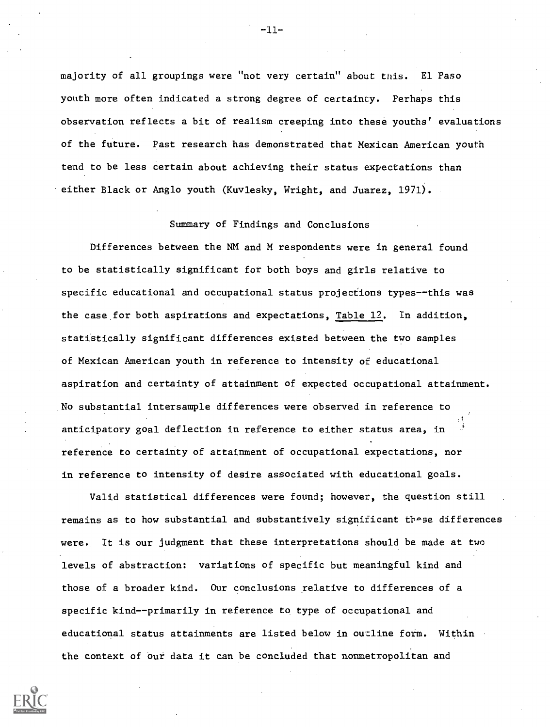majority of all groupings were "not very certain" about this. El Paso youth more often indicated a strong degree of certainty. Perhaps this observation reflects a bit of realism creeping into these youths' evaluations of the future. Past research has demonstrated that Mexican American youth tend to be less certain about achieving their status expectations than either Black or Anglo youth (Kuvlesky, Wright, and Juarez, 1971).

# Summary of Findings and Conclusions

Differences between the NM and M respondents were in general found to be statistically significant for both boys and girls relative to specific educational and occupational status projections types--this was the case for both aspirations and expectations, Table 12. In addition, statistically significant differences existed between the two samples of Mexican American youth in reference to intensity of educational aspiration and certainty of attainment of expected occupational attainment. No substantial intersample differences were observed in reference to anticipatory goal deflection in reference to either status area, in reference to certainty of attainment of occupational expectations, nor in reference to intensity of desire associated with educational goals.

Valid statistical differences were found; however, the question still remains as to how substantial and substantively significant these differences were. It is our judgment that these interpretations should be made at two levels of abstraction: variations of specific but meaningful kind and those of a broader kind. Our conclusions relative to differences of a specific kind--primarily in reference to type of occupational and educational status attainments are listed below in outline form. Within the context of our data it can be concluded that nonmetropolitan and



 $-11-$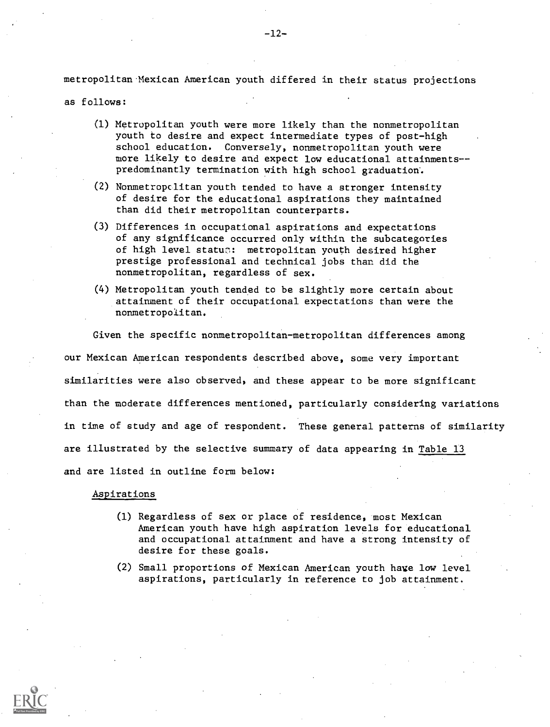metropolitan Mexican American youth differed in their status projections

as follows:

- (1) Metropolitan youth were more likely than the nonmetropolitan youth to desire and expect intermediate types of post-high school education. Conversely, nonmetropolitan youth were more likely to desire and expect low educational attainments-predominantly termination with high school graduation'.
- (2) Nonmetropclitan youth tended to have a stronger intensity of desire for the educational aspirations they maintained than did their metropolitan counterparts.
- (3) Differences in occupational aspirations and expectations of any significance occurred only within the subcategories of high level status: metropolitan youth desired higher prestige professional and technical jobs than did the nonmetropolitan, regardless of sex.
- (4) Metropolitan youth tended to be slightly more certain about attainment of their occupational expectations than were the nonmetropolitan.

Given the specific nonmetropolitan-metropolitan differences among our Mexican American respondents described above, some very important similarities were also observed, and these appear to be more significant than the moderate differences mentioned, particularly considering variations in time of study and age of respondent. These general patterns of similarity are illustrated by the selective summary of data appearing in Table 13 and are listed in outline form below:

#### Aspirations

- (1) Regardless of sex or place of residence, most Mexican American youth have high aspiration levels for educational and occupational attainment and have a strong intensity of desire for these goals.
- (2) Small proportions of Mexican American youth have low level aspirations, particularly in reference to job attainment.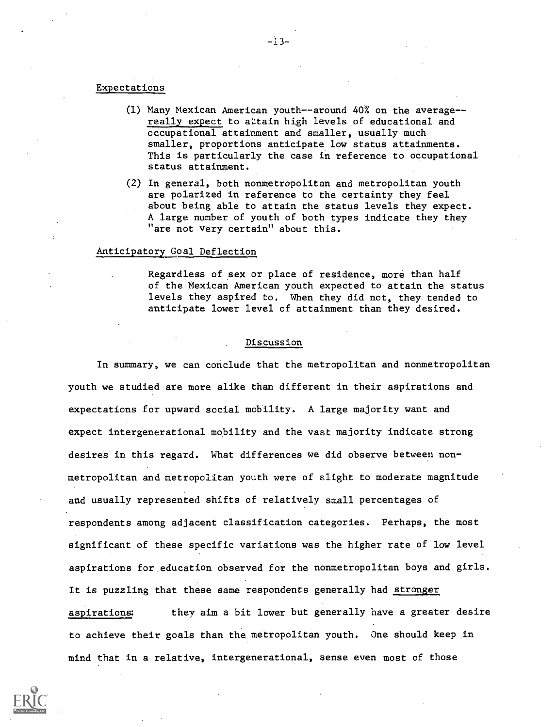#### Expectations

- (1) Many Mexican American youth--around 40% on the average- really expect to attain high levels of educational and occupational attainment and smaller, usually much smaller, proportions anticipate low status attainments. This is particularly the case in reference to occupational status attainment.
- (2) In general, both nonmetropolitan and metropolitan youth are polarized in reference to the certainty they feel about being able to attain the status levels they expect. A large number of youth of both types indicate they they "are not very certain" about this.

# Anticipatory Goal Deflection

Regardless of sex or place of residence, more than half of the Mexican American youth expected to attain the status levels they aspired to. When they did not, they tended to anticipate lower level of attainment than they desired.

## Discussion

In summary, we can conclude that the metropolitan and nonmetropolitan youth we studied are more alike than different in their aspirations and expectations for upward social mobility. A large majority want and expect intergenerational mobility and the vast majority indicate strong desires in this regard. What differences we did observe between nonmetropolitan and metropolitan youth were of slight to moderate magnitude and usually represented shifts of relatively small percentages of respondents among adjacent classification categories. Perhaps, the most significant of these specific variations was the higher rate of low level aspirations for education observed for the nonmetropolitan boys and girls. It is puzzling that these same respondents generally had stronger Aspirations: they aim a bit lower but generally have a greater desire to achieve their goals than the metropolitan youth. One should keep in mind that in a relative, intergenerational, sense even most of those

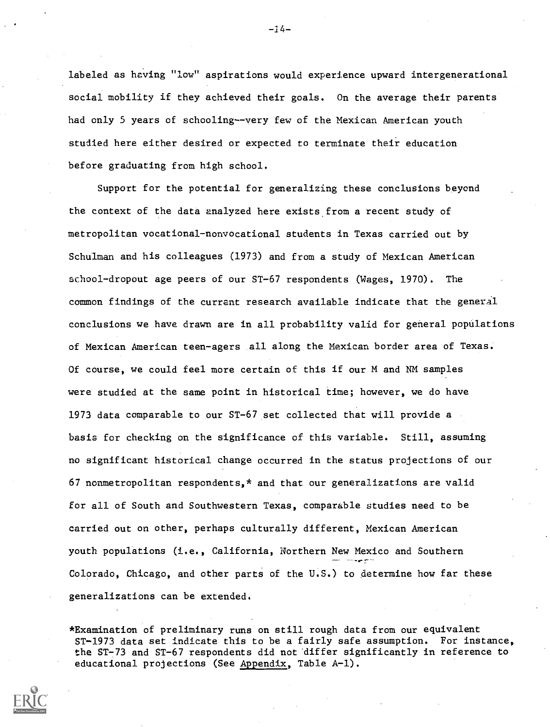labeled as having "low" aspirations would experience upward intergenerational social mobility if they achieved their goals. On the average their parents had only 5 years of schooling--very few of the Mexican American youth studied here either desired or expected to terminate their education before graduating from high school.

Support for the potential for generalizing these conclusions beyond the context of the data analyzed here exists from a recent study of metropolitan vocational-nonvocational students in Texas carried out by Schulman and his colleagues (1973) and from a study of Mexican American school-dropout age peers of our ST-67 respondents (Wages, 1970). The common findings of the currant research available indicate that the general conclusions we have drawn are in all probability valid for general populations of Mexican American teen-agers all along the Mexican border area of Texas. Of course, we could feel more certain of this if our M and NM samples were studied at the same point in historical time; however, we do have 1973 data comparable to our ST-67 set collected that will provide a basis for checking on the significance of this variable. Still, assuming no significant historical change occurred in the status projections of our 67 nonmetropolitan respondents,\* and that our generalizations are valid for all of South and Southwestern Texas, comparable studies need to be carried out on other, perhaps culturally different, Mexican American youth populations (i.e., California, Northern New Mexico and Southern Colorado, Chicago, and other parts of the U.S.) to determine how far these generalizations can be extended.

\*Examination of preliminary runs on still rough data from our equivalent ST-1973 data set indicate this to be a fairly safe assumption. For instance, the ST-73 and ST-67 respondents did not differ significantly in reference to educational projections (See Appendix, Table A-1).

 $-14-$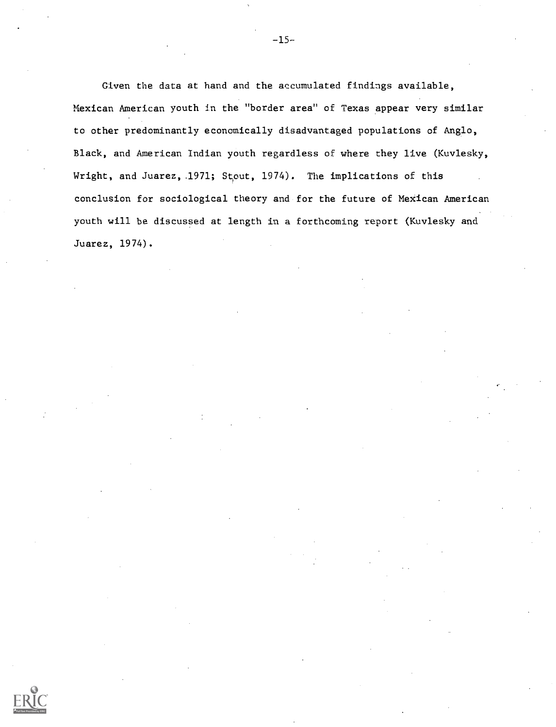Given the data at hand and the accumulated findings available, Mexican American youth in the "border area" of Texas appear very similar to other predominantly economically disadvantaged populations of Anglo, Black, and American Indian youth regardless of where they live (Kuvlesky, Wright, and Juarez,.1971; Stout, 1974). The implications of this conclusion for sociological theory and for the future of MeXican American youth will be discussed at length in a forthcoming report (Kuvlesky and Juarez, 1974).

-15-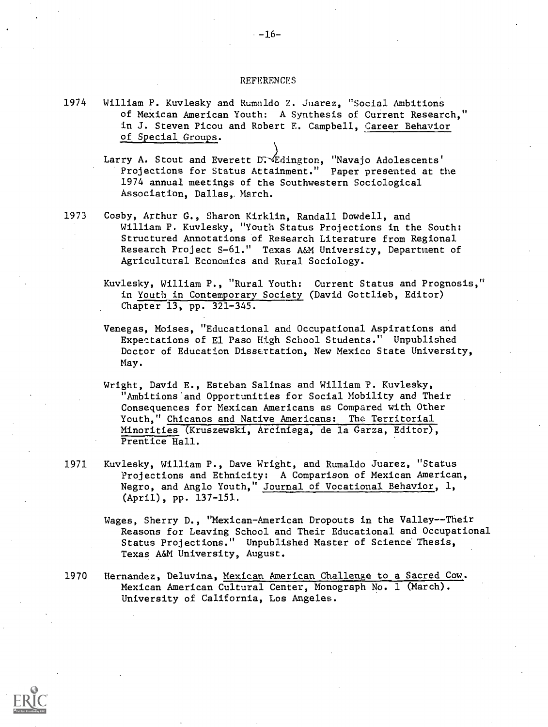#### **REFERENCES**

1974 William P. Kuvlesky and Rumaldo Z. Juarez, "Social Ambitions of Mexican American Youth: A Synthesis of Current Research." in J. Steven Picou and Robert E. Campbell, Career Behavior of Special Groups.

> Larry A. Stout and Everett D. Edington, "Navajo Adolescents' Projections for Status Attainment." Paper presented at the 1974 annual meetings of the Southwestern Sociological Association, Dallas, March.

- 1973 Cosby, Arthur G., Sharon Kirklin, Randall Dowdell, and William P. Kuvlesky, "Youth Status Projections in the South: Structured Annotations of Research Literature from Regional Research Project S-61." Texas A&M University, Department of Agricultural Economics and Rural Sociology.
	- Kuvlesky, William P., "Rural Youth: Current Status and Prognosis," in Youth in Contemporary Society (David Gottlieb, Editor) Chapter 13, pp. 321-345.
	- Venegas, Moises, "Educational and Occupational Aspirations and Expectations of El Paso High School Students." Unpublished Doctor of Education Dissertation, New Mexico State University, May.
	- Wright, David E., Esteban Salinas and William P. Kuvlesky, "Ambitions'and Opportunities for Social Mobility and Their Consequences for Mexican Americans as Compared with Other Youth," Chicanos and Native Americans: The Territorial Minorities (Kruszewski, Arciniega, de la Garza, Editor), Prentice Hall.
- 1971 Kuvlesky, William P., Dave Wright, and Rumaldo Juarez, "Status Projections and Ethnicity: A Comparison of Mexican American, Negro, and Anglo Youth," Journal of Vocational Behavior, 1, (April), pp. 137-151.
	- Wages, Sherry D., "Mexican-American Dropouts in the Valley--Their Reasons for Leaving School and Their Educational and Occupational Status Projections." Unpublished Master of Science Thesis, Texas A&M University, August.
- 1970 Hernandez, Deluvina, Mexican American Challenge to a Sacred Cow, Mexican American Cultural Center, Monograph No. 1 (March). University of California, Los Angeles.

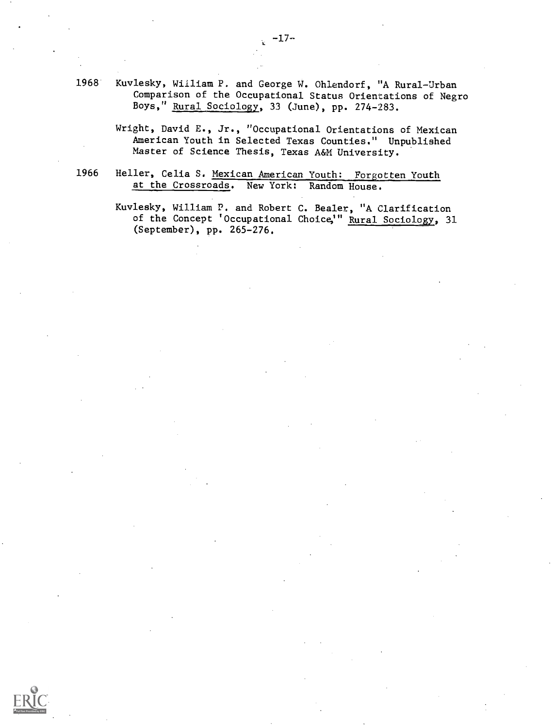- 1968 Kuvlesky, William P. and George W. Ohlendorf, "A Rural-Urban Comparison of the Occupational Status Orientations of Negro Boys," Rural Sociology, 33 (June), pp. 274-283.
	- Wright, David E., Jr., "Occupational Orientations of Mexican American Youth in Selected Texas Counties." Unpublished Master of Science Thesis, Texas A&M University.
- 1966 Heller, Celia S. Mexican American Youth: Forgotten Youth at the Crossroads. New York: Random House.

Kuvlesky, William P. and Robert C. Beeler, "A Clarification of the Concept 'Occupational Choice,'" <u>Rural Sociology</u>, 31 (September), pp. 265-276.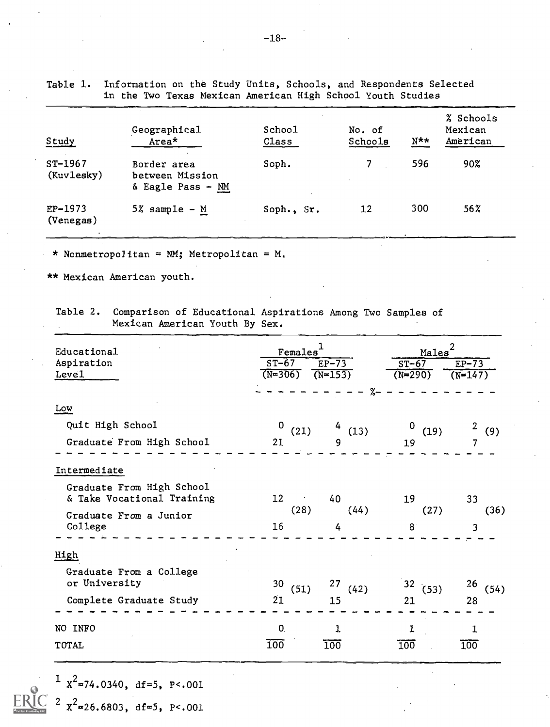|                         | in the Two Texas Mexican American High School Youth Studies |                 |                   |                  |                                  |
|-------------------------|-------------------------------------------------------------|-----------------|-------------------|------------------|----------------------------------|
| Study                   | Geographical<br>Area*                                       | School<br>Class | No. of<br>Schools | $N^{\star\star}$ | % Schools<br>Mexican<br>American |
| $ST-1967$<br>(Kuvlesky) | Border area<br>between Mission<br>& Eagle Pass - NM         | Soph.           |                   | 596              | 90%                              |
| $EP-1973$<br>(Venegas)  | $5\%$ sample - M                                            | Soph., Sr.      | 12                | 300              | $56\%$                           |

Table 1. Information on the Study Units, Schools, and Respondents Selected

\* Nonmetropolitan =  $NM$ ; Metropolitan = M.

\*\* Mexican American youth.

 $2 \text{ x}^2$ =26.6803, df=5, P<.001

Table 2. Comparison of Educational Aspirations Among Two Samples of Mexican American Youth By Sex.

| Educational<br>Aspiration<br>Level                      | Females<br>$ST-67$<br>$(N=306)$ | $EP-73$<br>$(N=153)$ | 2<br>Males <sup>®</sup><br>$ST-67$<br>$EP-73$<br>$(N=290)$<br>$(N = 147)$ |            |  |
|---------------------------------------------------------|---------------------------------|----------------------|---------------------------------------------------------------------------|------------|--|
| Low                                                     |                                 | %                    |                                                                           |            |  |
| Quit High School<br>Graduate From High School           | 0<br>(21)<br>21                 | $^{4}$ (13)<br>9     | $\mathbf 0$<br>(19)<br>19                                                 | 2(9)<br>7  |  |
| Intermediate                                            |                                 |                      |                                                                           |            |  |
| Graduate From High School<br>& Take Vocational Training | 12 <sup>2</sup>                 | 40                   | 19                                                                        | 33         |  |
| Graduate From a Junior<br>College                       | (28)<br>16                      | (44)<br>4            | (27)<br>8                                                                 | (36)<br>3  |  |
| High                                                    |                                 |                      |                                                                           |            |  |
| Graduate From a College<br>or University                | 30<br>(51)                      | 27<br>(42)           | 32(53)                                                                    | 26<br>(54) |  |
| Complete Graduate Study                                 | 21                              | 15                   | 21                                                                        | 28         |  |
| NO INFO                                                 | $\mathbf{0}$                    | 1                    | 1                                                                         | 1          |  |
| TOTAL                                                   | $\overline{100}$                | 100                  | $\overline{100}$                                                          | 100        |  |

-18-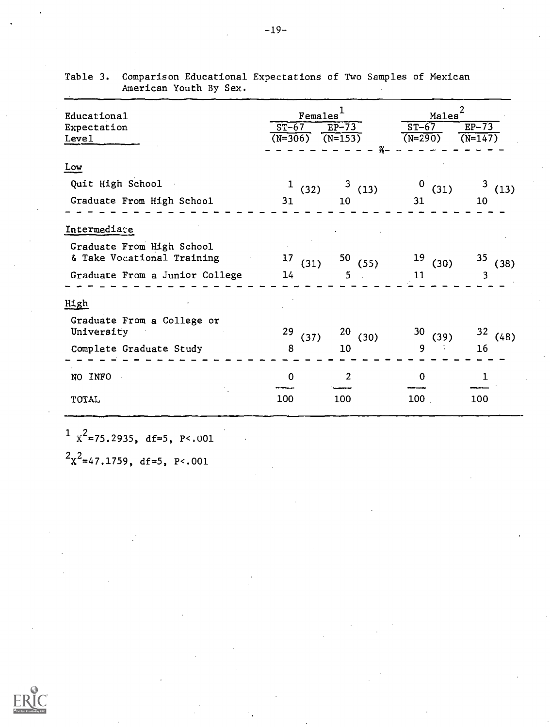| Educational<br>Expectation<br>Level                                                                       | $F$ emales <sup>1</sup><br>$ST-67$<br>$(N=306)$ | $EP-73$<br>$(N=153)$<br>$\frac{27}{76}$ | Males<br>$ST-67$<br>$(N=290)$ | 2<br>$EP-73$<br>$(N=147)$ |
|-----------------------------------------------------------------------------------------------------------|-------------------------------------------------|-----------------------------------------|-------------------------------|---------------------------|
| Low<br>Quit High School<br>Graduate From High School                                                      | $\mathbf{1}$<br>(32)<br>31                      | 3<br>(13)<br>10                         | $\bf{0}$<br>(31)<br>31        | (13)<br>10                |
| Intermediate<br>Graduate From High School<br>& Take Vocational Training<br>Graduate From a Junior College | 17<br>(31)<br>14                                | 50(55)<br>5                             | 19<br>(30)<br>11              | 35<br>(38)<br>3           |
| High<br>Graduate From a College or<br>University<br>Complete Graduate Study                               | 29<br>(37)<br>8                                 | 20<br>(30)<br>10                        | 30<br>(39)<br>9               | 32<br>(48)<br>16          |
| NO INFO<br>TOTAL                                                                                          | 0<br>100                                        | 2<br>100                                | $\mathbf{0}$<br>100           | ı<br>100                  |

Table 3. Comparison Educational Expectations of Two Samples of Mexican American Youth By Sex.

 $\frac{1}{x^2}$ =75.2935, df=5, P<.001

 $2x^2$ =47.1759, df=5, P<.001

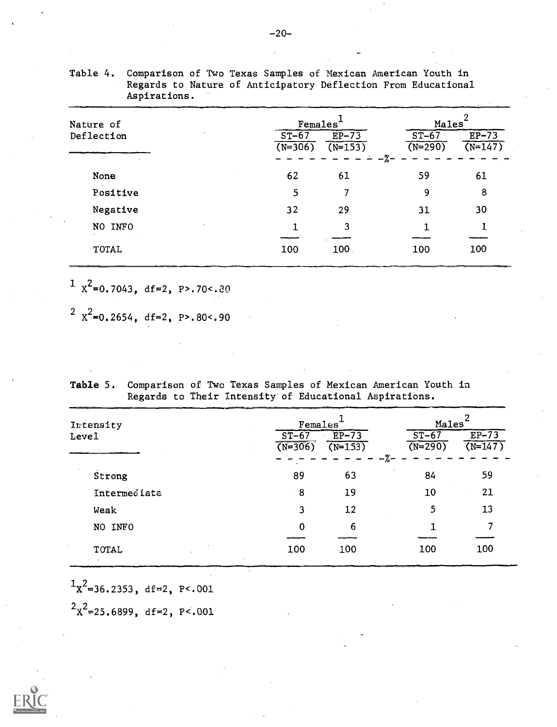| Nature of  | Females <sup>®</sup> |                      |                                          | Males                |  |  |
|------------|----------------------|----------------------|------------------------------------------|----------------------|--|--|
| Deflection | $ST-67$<br>$(N=306)$ | $EP-73$<br>$(N=153)$ | $ST-67$<br>$(N=290)$<br>$-\frac{9}{6}$ – | $EP-73$<br>$(N=147)$ |  |  |
| None       | 62                   | 61                   | 59                                       | 61                   |  |  |
| Positive   | 5                    | 7                    | 9                                        | 8                    |  |  |
| Negative   | 32                   | 29                   | 31                                       | 30                   |  |  |
| NO INFO    |                      | 3                    |                                          |                      |  |  |
| TOTAL      | 100                  | 100                  | 100                                      | 100                  |  |  |

Table 4. Comparison of Two Texas Samples of Mexican American Youth in Regards to Nature of Anticipatory Deflection From Educational Aspirations.

 $\frac{1}{2}$  X<sup>2</sup>=0.7043, df=2, P>.70<.80

 $2^2$   $x^2 = 0.2654$ , df=2, P>.80<.90

Table 5. Comparison of Two Texas Samples of Mexican American Youth in Regards to Their Intensity'of Educational Aspirations.

| Intensity        | Females <sup>®</sup> |                      |                                | Males                |  |  |
|------------------|----------------------|----------------------|--------------------------------|----------------------|--|--|
| Level            | $ST-67$<br>$(N=306)$ | $EP-73$<br>$(N=153)$ | $ST-67$<br>$(N=290)$<br>$-2 -$ | $EP-73$<br>$(N=147)$ |  |  |
| Strong           | 89                   | 63                   | 84                             | 59                   |  |  |
| Intermed late    | ់ 8                  | 19                   | 10                             | 21                   |  |  |
| Weak             | 3                    | 12                   | 5                              | 13                   |  |  |
| NO INFO          | 0                    | 6                    |                                |                      |  |  |
| TOTAL<br>$\cdot$ | 100                  | 100                  | 100                            | 100                  |  |  |

 ${}^{1}x^{2}$ =36.2353, df=2, P<.001

 $2x^2$ =25.6899, df=2, P<.001

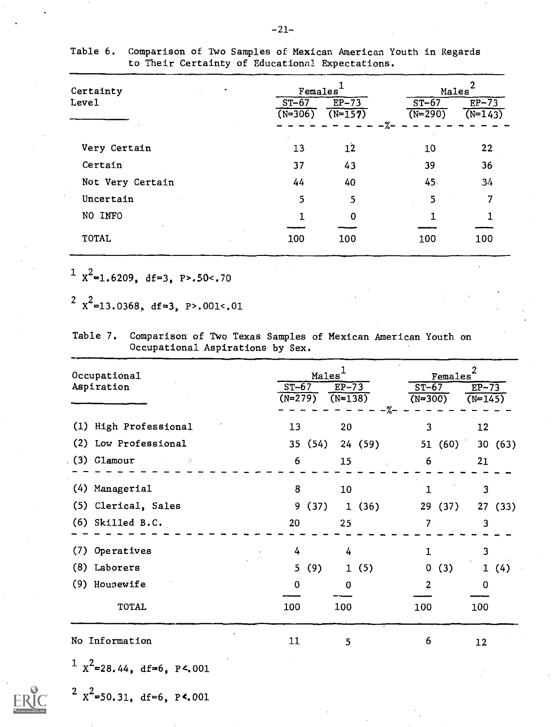| Certainty        | Females <sup>®</sup> |                      |                                 | Males                |  |
|------------------|----------------------|----------------------|---------------------------------|----------------------|--|
| Level            | $ST-67$<br>$(N=306)$ | $EP-73$<br>$(N=157)$ | $ST-67$<br>$(N=290)$<br>$-\% -$ | $EP-73$<br>$(N=143)$ |  |
| Very Certain     | 13                   | 12                   | 10                              | 22                   |  |
| Certain          | 37                   | 43                   | 39                              | 36                   |  |
| Not Very Certain | 44                   | 40                   | 45.                             | 34                   |  |
| Uncertain        | 5                    | 5                    | 5                               | 7                    |  |
| NO INFO          | 1                    | 0                    |                                 |                      |  |
| <b>TOTAL</b>     | 100                  | 100                  | 100                             | 100                  |  |

Table 6. Comparison of Two Samples of Mexican American Youth in Regards to Their Certainty of Educational Expectations.

 $1 x^2 = 1.6209$ , df=3, P>.50<.70

 $2^{2}$   $x^{2}=13.0368$ , df=3, P>.001<.01

| Table 7. | Comparison of Two Texas Samples of Mexican American Youth on |  |
|----------|--------------------------------------------------------------|--|
|          | Occupational Aspirations by Sex.                             |  |

| Occupational<br>Aspiration       | $ST-67$<br>$(\overline{N=279})$ | Males <sup>1</sup><br>$EP-73$<br>$(N=138)$<br>$-7 -$ | $\frac{\text{Females}^2}{\epsilon^2}$<br>$ST-67$<br>$(N=300)$ | $EF-73$<br>$(N=145)$ |
|----------------------------------|---------------------------------|------------------------------------------------------|---------------------------------------------------------------|----------------------|
| (1) High Professional            | 13                              | 20                                                   | 3                                                             | 12                   |
| (2) Low Professional             | 35 (54)                         | 24(59)                                               | 51(60)                                                        | 30 (63)              |
| $(3)$ Glamour<br>$\sim 10^{-11}$ | 6                               | 15                                                   | 6                                                             | 21                   |
| (4) Managerial                   | 8                               | 10                                                   |                                                               | 3                    |
| (5) Clerical, Sales              | 9<br>(37)                       | (36)<br>$\mathbf{1}$                                 | 29 (37)                                                       | 27(33)               |
| $(6)$ Skilled B.C.               | 20                              | 25                                                   | 7                                                             | 3                    |
| Operatives<br>(7)                | 4                               | 4                                                    |                                                               | 3                    |
| (8) Laborers                     | 5 <sub>1</sub><br>(9)           | (5)<br>$\mathbf{1}$                                  | $\mathbf 0$<br>(3)                                            | 1(4)                 |
| (9) Housewife                    | 0                               | $\Omega$                                             | 2                                                             | 0                    |
| TOTAL                            | 100                             | 100                                                  | 100                                                           | 100                  |
| No Information                   | 11                              | 5                                                    | 6                                                             | 12                   |

 $1 x^2$ =28.44, df=6, P<.001



 $2 x^2 = 50.31$ , df=6, P<.001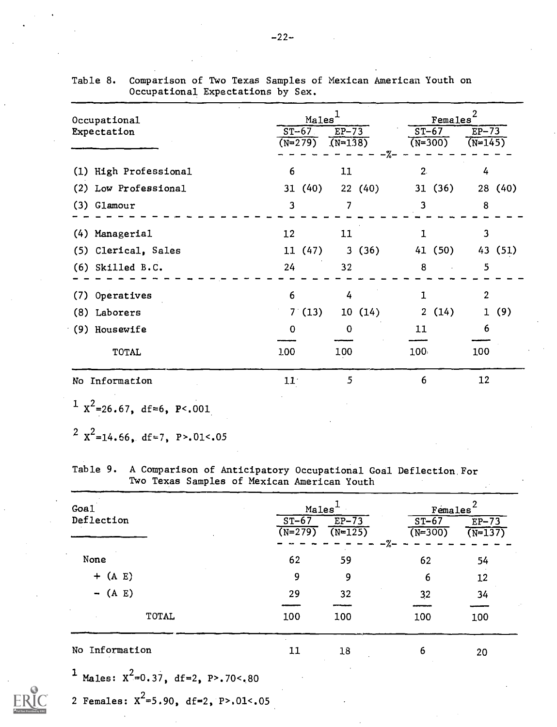| Occupational          | Males <sup>1</sup> |           |           | Females |             |            |             |         |
|-----------------------|--------------------|-----------|-----------|---------|-------------|------------|-------------|---------|
| Expectation           |                    | $ST-67$   | $EP-73$   |         | $ST-67$     |            | $E_{P-73}$  |         |
|                       |                    | $(N=279)$ | $(N=138)$ | $-\% -$ | $(N = 300)$ |            | $(N = 145)$ |         |
| (1) High Professional | 6                  |           | 11        |         | 2.          |            | 4           |         |
| (2) Low Professional  |                    | 31(40)    |           | 22(40)  |             | 31(36)     |             | 28 (40) |
| $(3)$ Glamour         | 3                  |           | 7         |         | 3           |            | 8           |         |
| (4) Managerial        | 12                 |           | 11        |         |             |            | 3           |         |
| (5) Clerical, Sales   |                    | 11(47)    |           | 3(36)   |             | 41(50)     |             | 43 (51) |
| $(6)$ Skilled B.C.    | 24                 |           | 32        |         | 8           | $\sim 100$ | 5           |         |
| (7) Operatives        | 6                  |           | 4         |         |             |            | 2           |         |
| (8) Laborers          |                    | 7(13)     |           | 10(14)  |             | 2(14)      |             | 1(9)    |
| (9) Housewife         | $\mathbf 0$        |           | 0         |         | 11          |            | 6           |         |
| <b>TOTAL</b>          | 100                |           | 100       |         | 100         |            | 100         |         |
| No Information        | 11                 |           | 5         |         | 6           |            | 12          |         |

| Table 8. Comparison of Two Texas Samples of Mexican American Youth on |  |
|-----------------------------------------------------------------------|--|
| Occupational Expectations by Sex.                                     |  |

 $\frac{1}{x^2}$ =26.67, df=6, P<.001

<sup>2</sup>  $x^2$ =14.66, df=7, P>.01<.05

Table 9. A Comparison of Anticipatory Occupational Goal Deflection For Two Texas Samples of Mexican American Youth

| Goal              |                      | Males <sup>®</sup>   |                                             |                         |
|-------------------|----------------------|----------------------|---------------------------------------------|-------------------------|
| Deflection        | $ST-67$<br>$(N=279)$ | $EP-73$<br>$(N=125)$ | Females<br>$ST-67$<br>$(N=300)$<br>$- \% -$ | $E_{P-73}$<br>$(N=137)$ |
| None              | 62                   | 59                   | 62                                          | 54                      |
| $+$ (A E)         | 9                    | 9                    | 6                                           | 12                      |
| $-$ (A E)         | 29                   | 32                   | 32                                          | 34                      |
| <b>TOTAL</b>      | 100                  | 100                  | 100                                         | 100                     |
| Information<br>No | 11                   | 18                   | 6                                           | 20                      |
|                   |                      |                      |                                             |                         |

1 Males:  $X^2 = 0.37$ , df=2, P>.70<.80

2 Females:  $x^2 = 5.90$ , df=2, P>.01<.05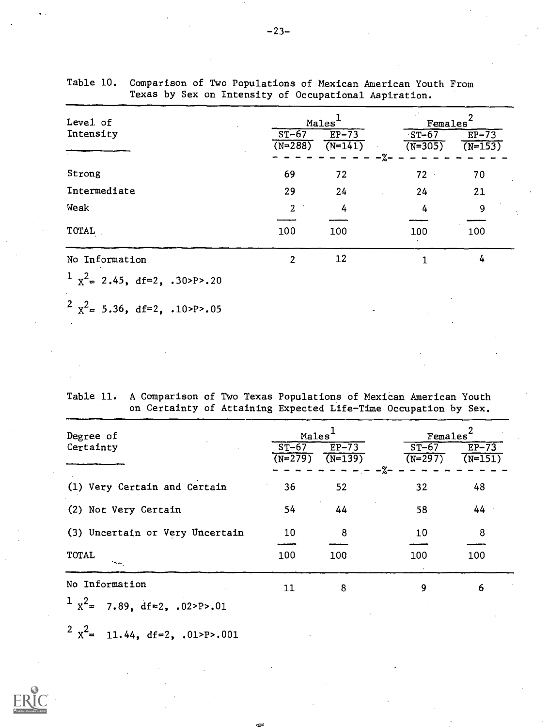| Level of                         | Males                |                      | Females <sup>®</sup>        |                                 |  |
|----------------------------------|----------------------|----------------------|-----------------------------|---------------------------------|--|
| Intensity                        | $ST-67$<br>$(N=288)$ | $EP-73$<br>$(N=141)$ | $ST-67$<br>$(N=305)$<br>-%– | $EP-73$<br>$\overline{(N=153)}$ |  |
| Strong                           | 69                   | 72                   | 72                          | 70                              |  |
| Intermediate                     | 29                   | 24                   | 24                          | 21                              |  |
| Weak                             | $\overline{2}$       | 4                    | 4                           | 9                               |  |
| TOTAL                            | 100                  | 100                  | 100                         | 100                             |  |
| No Information                   | $\overline{2}$       | 12                   |                             | 4                               |  |
| $1 x^2 = 2.45$ , df=2, .30>P>.20 |                      |                      |                             |                                 |  |

Table 10. Comparison of Two Populations of Mexican American Youth From Texas by Sex on Intensity of Occupational Aspiration.

 $2^{2}$   $x^{2}$  = 5.36, df=2, .10>P>.05

Table 11. A Comparison of Two Texas Populations of Mexican American Youth on Certainty of Attaining Expected Life-Time Occupation by Sex.

| Degree of<br>Certainty                  | Males<br>$ST-67$<br>$(N=279)$ | $EF-73$<br>$(N=139)$ | Females <sup>®</sup><br>$ST-67$<br>$(N=297)$ | $EP-73$<br>$(N=151)$ |
|-----------------------------------------|-------------------------------|----------------------|----------------------------------------------|----------------------|
| (1) Very Certain and Certain            | 36                            | 52                   | ∙%–<br>32                                    | 48                   |
| (2) Not Very Certain                    | 54                            | 44                   | 58                                           | 44                   |
| (3) Uncertain or Very Uncertain         | 10                            | 8                    | 10                                           | 8                    |
| <b>TOTAL</b><br>$\sim$                  | 100                           | 100                  | 100                                          | 100                  |
| No Information                          | 11                            | 8                    | 9                                            | 6                    |
| $1 x^2 =$<br>7.89, $df = 2$ , .02>P>.01 |                               |                      |                                              |                      |

 $2^2$   $x^2$  = 11.44, df=2, .01>P>.001

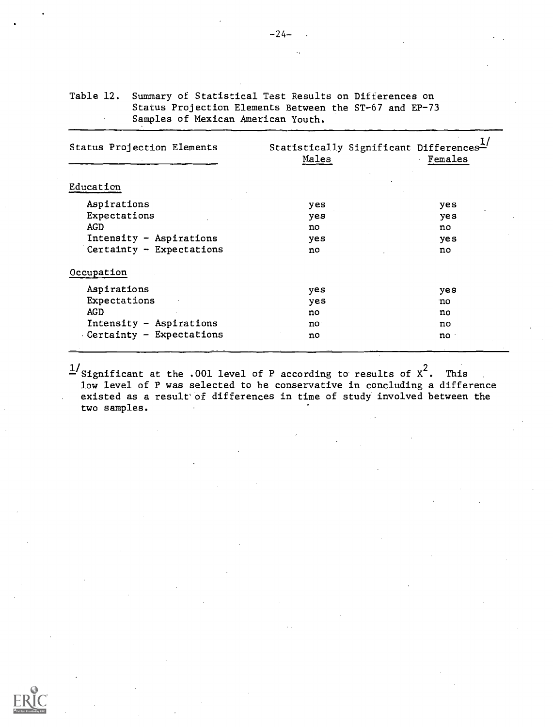| Status Projection Elements | Statistically Significant Differences <sup><math>\triangle</math></sup><br>Males | Females |
|----------------------------|----------------------------------------------------------------------------------|---------|
| Education                  |                                                                                  |         |
| Aspirations                | yes                                                                              | yes     |
| Expectations               | yes                                                                              | yes     |
| AGD                        | no                                                                               | no      |
| Intensity - Aspirations    | yes                                                                              | yes     |
| Certainty - Expectations   | no                                                                               | no      |
| Occupation                 |                                                                                  |         |
| Aspirations                | yes                                                                              | yes     |
| Expectations               | yes                                                                              | no      |
| AG D                       | no                                                                               | no      |
| Intensity - Aspirations    | no:                                                                              | no      |
| Certainty - Expectations   | no                                                                               | no      |
|                            |                                                                                  |         |

 $\frac{1}{2}$ Significant at the .001 level of P according to results of  $x^2$ . This low level of P was selected to be conservative in concluding a difference existed as a result' of differences in time of study involved between the two samples.

Table 12. Summary of Statistical Test Results on Differences on Status Projection Elements Between the ST-67 and EP-73 Samples of Mexican American Youth.

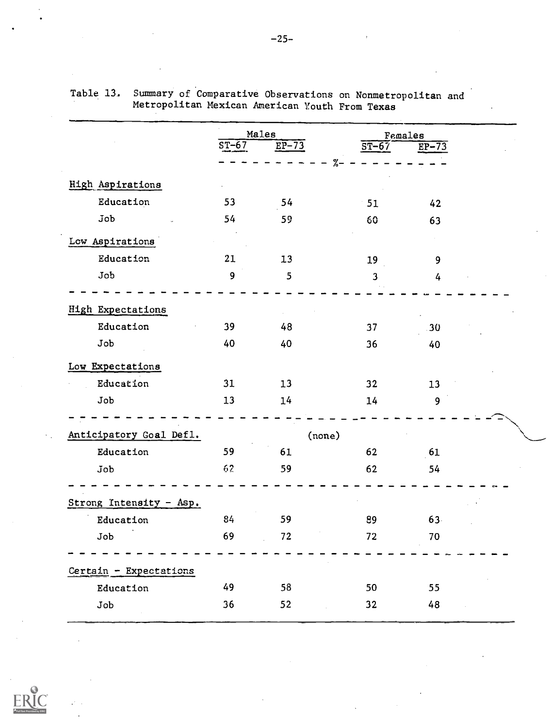|                          |         | Males              |                    | Females |  |
|--------------------------|---------|--------------------|--------------------|---------|--|
|                          | $ST-67$ | $E\overline{P-73}$ | $\overline{ST-67}$ | $EP-73$ |  |
|                          |         |                    | $\%$ -             |         |  |
| <b>High Aspirations</b>  |         |                    |                    |         |  |
| Education                | 53      | 54                 | 51                 | 42      |  |
| Job                      | 54      | 59                 | 60                 | 63      |  |
| Low Aspirations          |         |                    |                    |         |  |
| Education                | 21      | 13                 | 19                 | 9       |  |
| Job                      | 9       | 5                  | 3                  | 4       |  |
| <b>High Expectations</b> |         |                    |                    |         |  |
| Education                | 39      | 48                 | 37                 | 30      |  |
| Job                      | 40      | 40                 | 36                 | 40      |  |
| Low Expectations         |         |                    |                    |         |  |
| Education                | 31      | 13                 | 32                 | 13      |  |
| Job                      | 13      | 14                 | 14                 | 9       |  |
| Anticipatory Goal Defl.  |         | (none)             |                    |         |  |
| Education                | 59      | 61                 | 62                 | 61      |  |
| Job                      | 62      | 59                 | 62                 | 54      |  |
|                          |         |                    |                    |         |  |
| Strong Intensity - Asp.  |         |                    |                    |         |  |
| Education                | 84      | 59                 | 89                 | 63      |  |
| Job                      | 69      | 72                 | 72                 | 70      |  |
| Certain - Expectations   |         |                    |                    |         |  |
| Education                | 49      | 58                 | 50                 | 55      |  |
| Job                      | 36      | 52                 | 32                 | 48      |  |

| Table 13. Summary of Comparative Observations on Nonmetropolitan and |  |
|----------------------------------------------------------------------|--|
| Metropolitan Mexican American Youth From Texas                       |  |